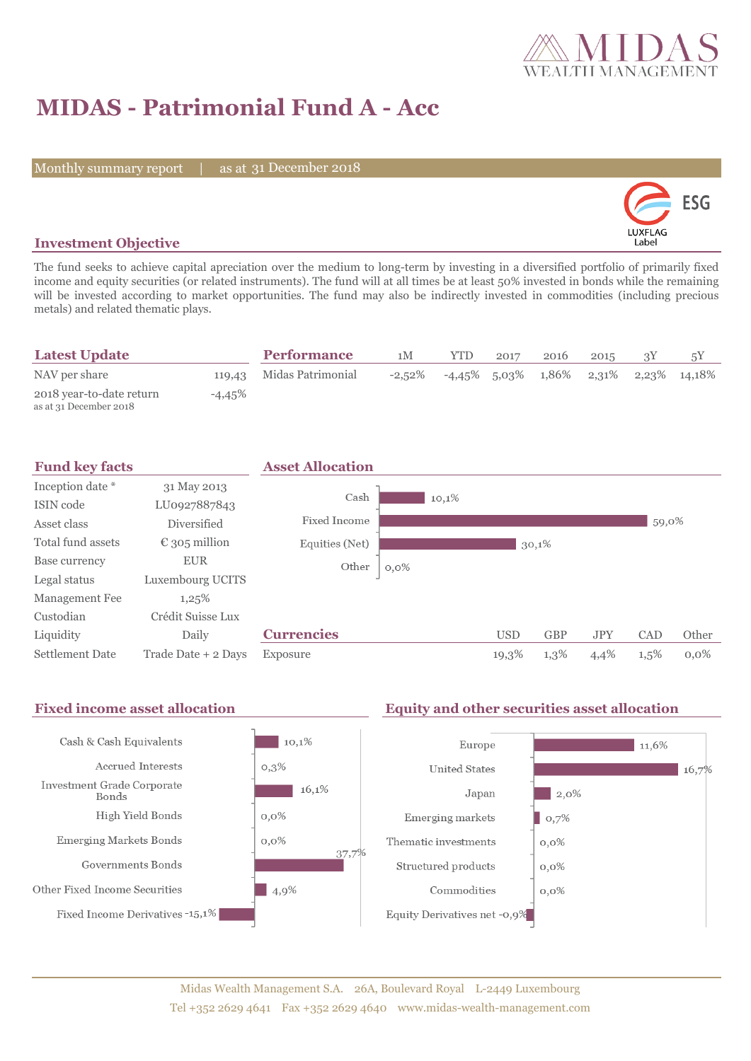

# **MIDAS - Patrimonial Fund A - Acc**

Monthly summary report | as at 31 December 2018



### **Investment Objective**

The fund seeks to achieve capital apreciation over the medium to long-term by investing in a diversified portfolio of primarily fixed income and equity securities (or related instruments). The fund will at all times be at least 50% invested in bonds while the remaining will be invested according to market opportunities. The fund may also be indirectly invested in commodities (including precious metals) and related thematic plays.

| <b>Latest Update</b>                               |           | <b>Performance</b>       | 1M        | <b>YTD</b> | 2017 | 2016 | 2015 |                                               |
|----------------------------------------------------|-----------|--------------------------|-----------|------------|------|------|------|-----------------------------------------------|
| NAV per share                                      |           | 119,43 Midas Patrimonial | $-2.52\%$ |            |      |      |      | $-4.45\%$ 5.03\% 1.86\% 2.31\% 2.23\% 14.18\% |
| 2018 year-to-date return<br>as at 31 December 2018 | $-4.45\%$ |                          |           |            |      |      |      |                                               |

| <b>Fund key facts</b>  |                        | <b>Asset Allocation</b> |         |            |            |            |         |         |
|------------------------|------------------------|-------------------------|---------|------------|------------|------------|---------|---------|
| Inception date *       | 31 May 2013            |                         |         |            |            |            |         |         |
| ISIN code              | LU0927887843           | Cash                    | 10,1%   |            |            |            |         |         |
| Asset class            | <b>Diversified</b>     | Fixed Income            |         |            |            |            | 59,0%   |         |
| Total fund assets      | $\epsilon$ 305 million | Equities (Net)          |         |            | 30,1%      |            |         |         |
| Base currency          | <b>EUR</b>             | Other                   | $0,0\%$ |            |            |            |         |         |
| Legal status           | Luxembourg UCITS       |                         |         |            |            |            |         |         |
| Management Fee         | 1,25%                  |                         |         |            |            |            |         |         |
| Custodian              | Crédit Suisse Lux      |                         |         |            |            |            |         |         |
| Liquidity              | Daily                  | <b>Currencies</b>       |         | <b>USD</b> | <b>GBP</b> | <b>JPY</b> | CAD     | Other   |
| <b>Settlement Date</b> | Trade Date + 2 Days    | Exposure                |         | 19,3%      | 1,3%       | 4,4%       | $1,5\%$ | $0.0\%$ |

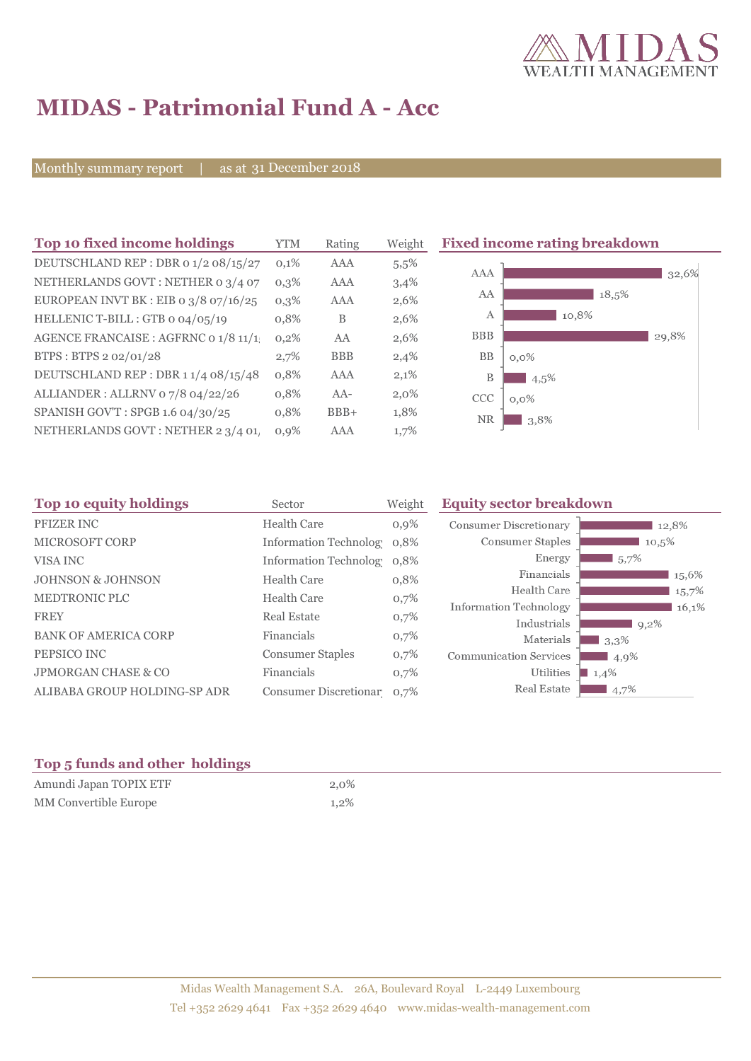

# **MIDAS - Patrimonial Fund A - Acc**

Monthly summary report | as at 31 December 2018

| Top 10 fixed income holdings            | <b>YTM</b> | Rating     | Weight  | <b>Fixed income rating breakdown</b> |
|-----------------------------------------|------------|------------|---------|--------------------------------------|
| DEUTSCHLAND REP : DBR 0 1/2 08/15/27    | 0,1%       | AAA        | $5.5\%$ |                                      |
| NETHERLANDS GOVT: NETHER 0 3/4 07       | $0,3\%$    | AAA        | 3,4%    | AAA<br>32,6%                         |
| EUROPEAN INVT BK : EIB o $3/8$ o7/16/25 | $0,3\%$    | AAA        | 2,6%    | AA<br>18,5%                          |
| HELLENIC T-BILL: GTB 0 04/05/19         | 0,8%       | B          | 2,6%    | 10,8%<br>A                           |
| AGENCE FRANCAISE : AGFRNC 0 1/8 11/1    | 0,2%       | AA         | 2,6%    | <b>BBB</b><br>29,8%                  |
| BTPS: BTPS 2 02/01/28                   | 2,7%       | <b>BBB</b> | 2,4%    | <b>BB</b><br>$0,0\%$                 |
| DEUTSCHLAND REP: DBR 11/4 08/15/48      | 0,8%       | <b>AAA</b> | 2,1%    | B<br>4,5%                            |
| ALLIANDER: ALLRNV 07/8 04/22/26         | 0,8%       | $AA-$      | $2,0\%$ | <b>CCC</b><br>$0,0\%$                |
| SPANISH GOV'T: SPGB 1.6 04/30/25        | 0,8%       | $BBB+$     | 1,8%    | NR<br>3,8%                           |
| NETHERLANDS GOVT: NETHER 2 3/4 01,      | $0,9\%$    | AAA        | 1,7%    |                                      |

| Top 10 equity holdings         | Sector                     | Weight | <b>Equity sector breakdown</b> |                   |
|--------------------------------|----------------------------|--------|--------------------------------|-------------------|
| PFIZER INC                     | <b>Health Care</b>         | 0,9%   | <b>Consumer Discretionary</b>  | 12,8%             |
| <b>MICROSOFT CORP</b>          | Information Technolog 0.8% |        | Consumer Staples               | 10,5%             |
| VISA INC                       | Information Technolog 0.8% |        | Energy                         | $15.7\%$          |
| <b>JOHNSON &amp; JOHNSON</b>   | <b>Health Care</b>         | 0,8%   | Financials                     | 15,6%             |
| <b>MEDTRONIC PLC</b>           | <b>Health Care</b>         | 0,7%   | Health Care                    | 15,7%             |
| <b>FREY</b>                    | <b>Real Estate</b>         | 0,7%   | Information Technology         | 16,1%             |
|                                |                            |        | Industrials                    | $9,2\%$           |
| <b>BANK OF AMERICA CORP</b>    | Financials                 | 0,7%   | Materials                      | $\frac{1}{3,3\%}$ |
| PEPSICO INC                    | <b>Consumer Staples</b>    | 0,7%   | <b>Communication Services</b>  | 4,9%              |
| <b>JPMORGAN CHASE &amp; CO</b> | Financials                 | 0,7%   | Utilities                      | 1,4%              |
| ALIBABA GROUP HOLDING-SP ADR   | Consumer Discretionar 0,7% |        | Real Estate                    | $4,7\%$           |

### **Top 5 funds and other holdings**

| Amundi Japan TOPIX ETF | $2.0\%$ |
|------------------------|---------|
| MM Convertible Europe  | $1.2\%$ |